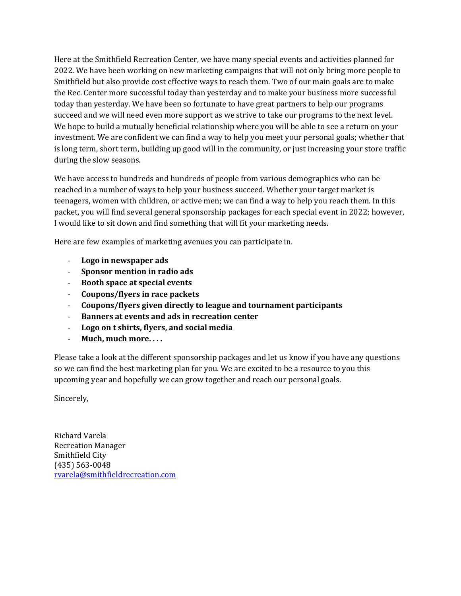Here at the Smithfield Recreation Center, we have many special events and activities planned for 2022. We have been working on new marketing campaigns that will not only bring more people to Smithfield but also provide cost effective ways to reach them. Two of our main goals are to make the Rec. Center more successful today than yesterday and to make your business more successful today than yesterday. We have been so fortunate to have great partners to help our programs succeed and we will need even more support as we strive to take our programs to the next level. We hope to build a mutually beneficial relationship where you will be able to see a return on your investment. We are confident we can find a way to help you meet your personal goals; whether that is long term, short term, building up good will in the community, or just increasing your store traffic during the slow seasons.

We have access to hundreds and hundreds of people from various demographics who can be reached in a number of ways to help your business succeed. Whether your target market is teenagers, women with children, or active men; we can find a way to help you reach them. In this packet, you will find several general sponsorship packages for each special event in 2022; however, I would like to sit down and find something that will fit your marketing needs.

Here are few examples of marketing avenues you can participate in.

- **Logo in newspaper ads**
- **Sponsor mention in radio ads**
- **Booth space at special events**
- **Coupons/flyers in race packets**
- **Coupons/flyers given directly to league and tournament participants**
- **Banners at events and ads in recreation center**
- **Logo on t shirts, flyers, and social media**
- **Much, much more. . . .**

Please take a look at the different sponsorship packages and let us know if you have any questions so we can find the best marketing plan for you. We are excited to be a resource to you this upcoming year and hopefully we can grow together and reach our personal goals.

Sincerely,

Richard Varela Recreation Manager Smithfield City (435) 563-0048 [rvarela@smithfieldrecreation.com](mailto:rvarela@smithfieldrecreation.com)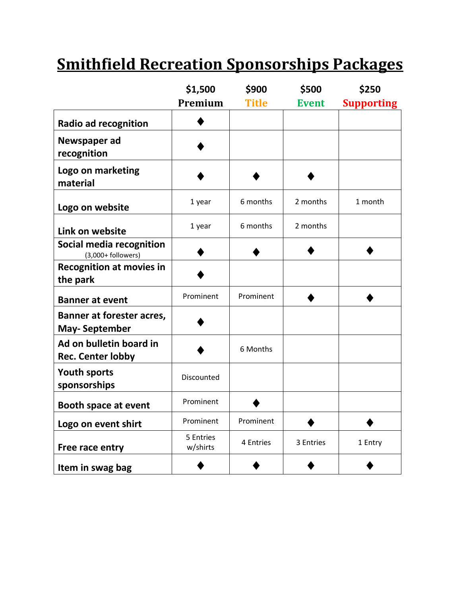# **Smithfield Recreation Sponsorships Packages**

|                                                     | \$1,500               | \$900        | \$500        | \$250             |
|-----------------------------------------------------|-----------------------|--------------|--------------|-------------------|
|                                                     | Premium               | <b>Title</b> | <b>Event</b> | <b>Supporting</b> |
| <b>Radio ad recognition</b>                         |                       |              |              |                   |
| Newspaper ad<br>recognition                         |                       |              |              |                   |
| Logo on marketing<br>material                       |                       |              |              |                   |
| Logo on website                                     | 1 year                | 6 months     | 2 months     | 1 month           |
| Link on website                                     | 1 year                | 6 months     | 2 months     |                   |
| Social media recognition<br>$(3,000+$ followers)    |                       |              |              |                   |
| <b>Recognition at movies in</b><br>the park         |                       |              |              |                   |
| <b>Banner at event</b>                              | Prominent             | Prominent    |              |                   |
| Banner at forester acres,<br><b>May-September</b>   |                       |              |              |                   |
| Ad on bulletin board in<br><b>Rec. Center lobby</b> |                       | 6 Months     |              |                   |
| <b>Youth sports</b><br>sponsorships                 | Discounted            |              |              |                   |
| <b>Booth space at event</b>                         | Prominent             |              |              |                   |
| Logo on event shirt                                 | Prominent             | Prominent    |              |                   |
| Free race entry                                     | 5 Entries<br>w/shirts | 4 Entries    | 3 Entries    | 1 Entry           |
| Item in swag bag                                    |                       |              |              |                   |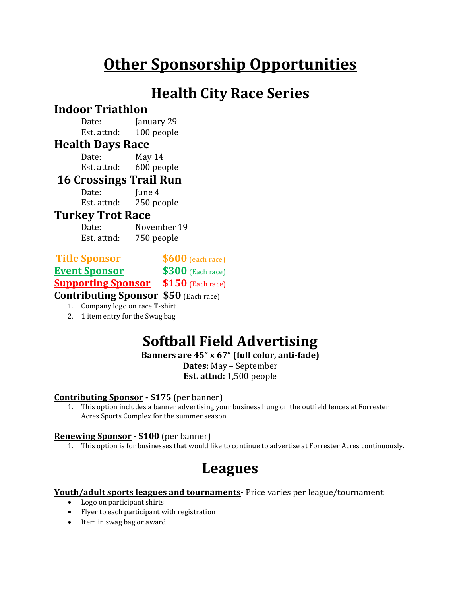# **Other Sponsorship Opportunities**

## **Health City Race Series**

## **Indoor Triathlon**

Date: **January 29** Est. attnd: 100 people

### **Health Days Race**

Date: May 14 Est. attnd: 600 people

### **16 Crossings Trail Run**

Date: June 4 Est. attnd: 250 people

### **Turkey Trot Race**

Date: November 19 Est. attnd: 750 people

| <b>Title Sponsor</b> |  | $$600$ (each race) |
|----------------------|--|--------------------|
|----------------------|--|--------------------|

**Event Sponsor \$300** (Each race)

**Supporting Sponsor \$150** (Each race)

**Contributing Sponsor \$50** (Each race)

1. Company logo on race T-shirt

2. 1 item entry for the Swag bag

# **Softball Field Advertising**

**Banners are 45" x 67" (full color, anti-fade)**

**Dates:** May – September **Est. attnd:** 1,500 people

#### **Contributing Sponsor - \$175** (per banner)

1. This option includes a banner advertising your business hung on the outfield fences at Forrester Acres Sports Complex for the summer season.

#### **Renewing Sponsor - \$100** (per banner)

1. This option is for businesses that would like to continue to advertise at Forrester Acres continuously.

## **Leagues**

#### **Youth/adult sports leagues and tournaments-** Price varies per league/tournament

- Logo on participant shirts
- Flyer to each participant with registration
- Item in swag bag or award